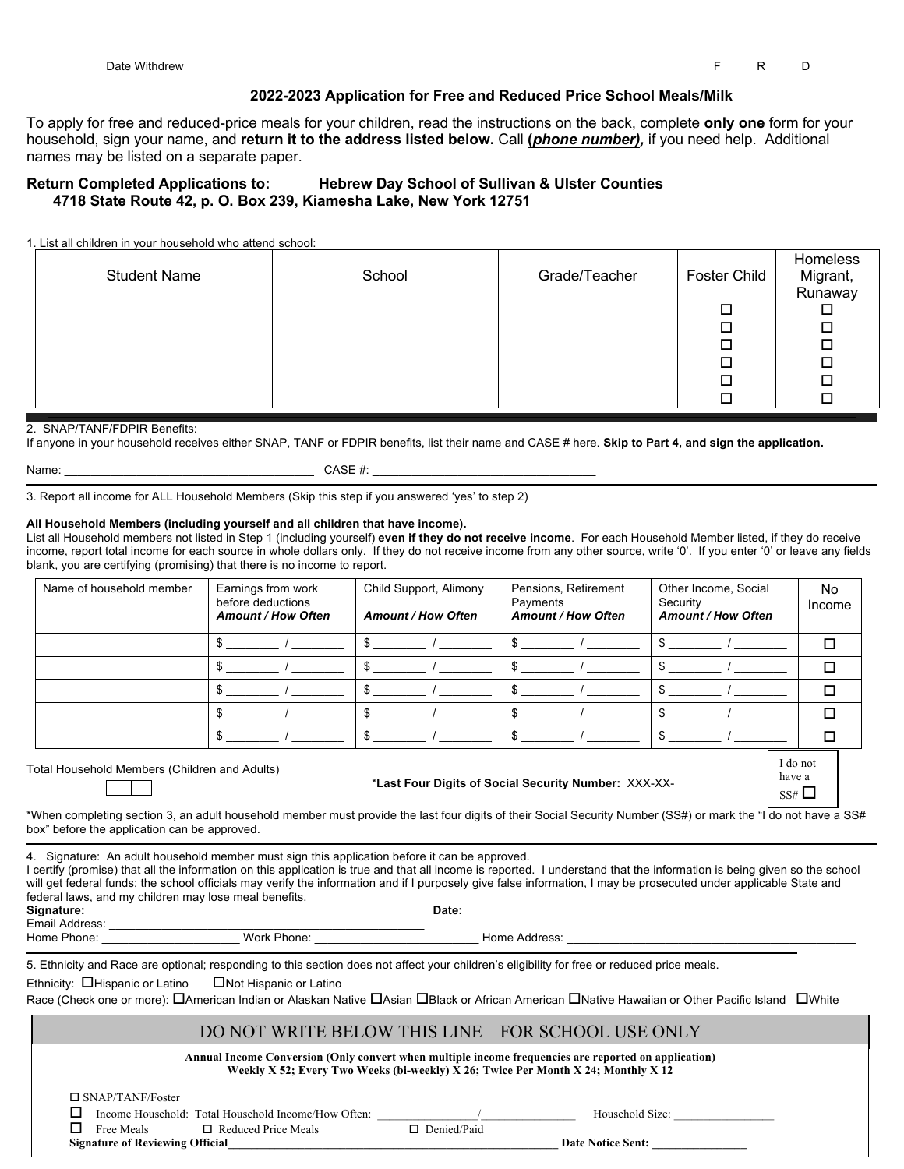have a  $SS#$   $\square$ 

#### **2022-2023 Application for Free and Reduced Price School Meals/Milk**

To apply for free and reduced-price meals for your children, read the instructions on the back, complete **only one** form for your household, sign your name, and **return it to the address listed below.** Call **(***phone number),* if you need help. Additional names may be listed on a separate paper.

### **Return Completed Applications to: Hebrew Day School of Sullivan & Ulster Counties 4718 State Route 42, p. O. Box 239, Kiamesha Lake, New York 12751**

1. List all children in your household who attend school:

| <b>Student Name</b> | School | Grade/Teacher | Foster Child | Homeless<br>Migrant,<br>Runaway |
|---------------------|--------|---------------|--------------|---------------------------------|
|                     |        |               |              |                                 |
|                     |        |               |              |                                 |
|                     |        |               |              |                                 |
|                     |        |               |              |                                 |
|                     |        |               |              |                                 |
|                     |        |               |              |                                 |

#### 2. SNAP/TANF/FDPIR Benefits:

If anyone in your household receives either SNAP, TANF or FDPIR benefits, list their name and CASE # here. **Skip to Part 4, and sign the application.**

|  | Name |  |
|--|------|--|
|  |      |  |

 $CASE \; \#$ :

3. Report all income for ALL Household Members (Skip this step if you answered 'yes' to step 2)

#### **All Household Members (including yourself and all children that have income).**

List all Household members not listed in Step 1 (including yourself) **even if they do not receive income**. For each Household Member listed, if they do receive income, report total income for each source in whole dollars only. If they do not receive income from any other source, write '0'. If you enter '0' or leave any fields blank, you are certifying (promising) that there is no income to report.

| Name of household member | Earnings from work<br>before deductions<br><b>Amount / How Often</b> | Child Support, Alimony<br><b>Amount / How Often</b> | Pensions, Retirement<br>Payments<br><b>Amount / How Often</b> | Other Income, Social<br>Security<br><b>Amount / How Often</b> | No<br>Income |
|--------------------------|----------------------------------------------------------------------|-----------------------------------------------------|---------------------------------------------------------------|---------------------------------------------------------------|--------------|
|                          |                                                                      |                                                     |                                                               |                                                               |              |
|                          |                                                                      |                                                     |                                                               |                                                               |              |
|                          |                                                                      |                                                     |                                                               |                                                               |              |
|                          |                                                                      |                                                     |                                                               |                                                               |              |
|                          |                                                                      |                                                     |                                                               |                                                               |              |
|                          |                                                                      |                                                     |                                                               |                                                               | I do not     |

Total Household Members (Children and Adults)

\***Last Four Digits of Social Security Number:** XXX-XX- \_\_ \_\_ \_\_ \_\_

\*When completing section 3, an adult household member must provide the last four digits of their Social Security Number (SS#) or mark the "I do not have a SS# box" before the application can be approved.

4. Signature: An adult household member must sign this application before it can be approved.

I certify (promise) that all the information on this application is true and that all income is reported. I understand that the information is being given so the school will get federal funds; the school officials may verify the information and if I purposely give false information, I may be prosecuted under applicable State and federal laws, and my children may lose meal benefits.

| Signature:     |             | Date:         |  |
|----------------|-------------|---------------|--|
| Email Address: |             |               |  |
| Home Phone:    | Work Phone: | Home Address: |  |

5. Ethnicity and Race are optional; responding to this section does not affect your children's eligibility for free or reduced price meals.

Ethnicity:  $\Box$ Hispanic or Latino  $\Box$  Not Hispanic or Latino

Race (Check one or more): OAmerican Indian or Alaskan Native OAsian OBlack or African American ONative Hawaiian or Other Pacific Island OWhite

## DO NOT WRITE BELOW THIS LINE – FOR SCHOOL USE ONLY

| Annual Income Conversion (Only convert when multiple income frequencies are reported on application) |  |
|------------------------------------------------------------------------------------------------------|--|
| Weekly X 52; Every Two Weeks (bi-weekly) X 26; Twice Per Month X 24; Monthly X 12                    |  |

| $\Box$ SNAP/TANF/Foster                             |             |                          |
|-----------------------------------------------------|-------------|--------------------------|
| Income Household: Total Household Income/How Often: |             | Household Size:          |
| Free Meals<br>$\Box$ Reduced Price Meals            | Denied/Paid |                          |
| <b>Signature of Reviewing Official</b>              |             | <b>Date Notice Sent:</b> |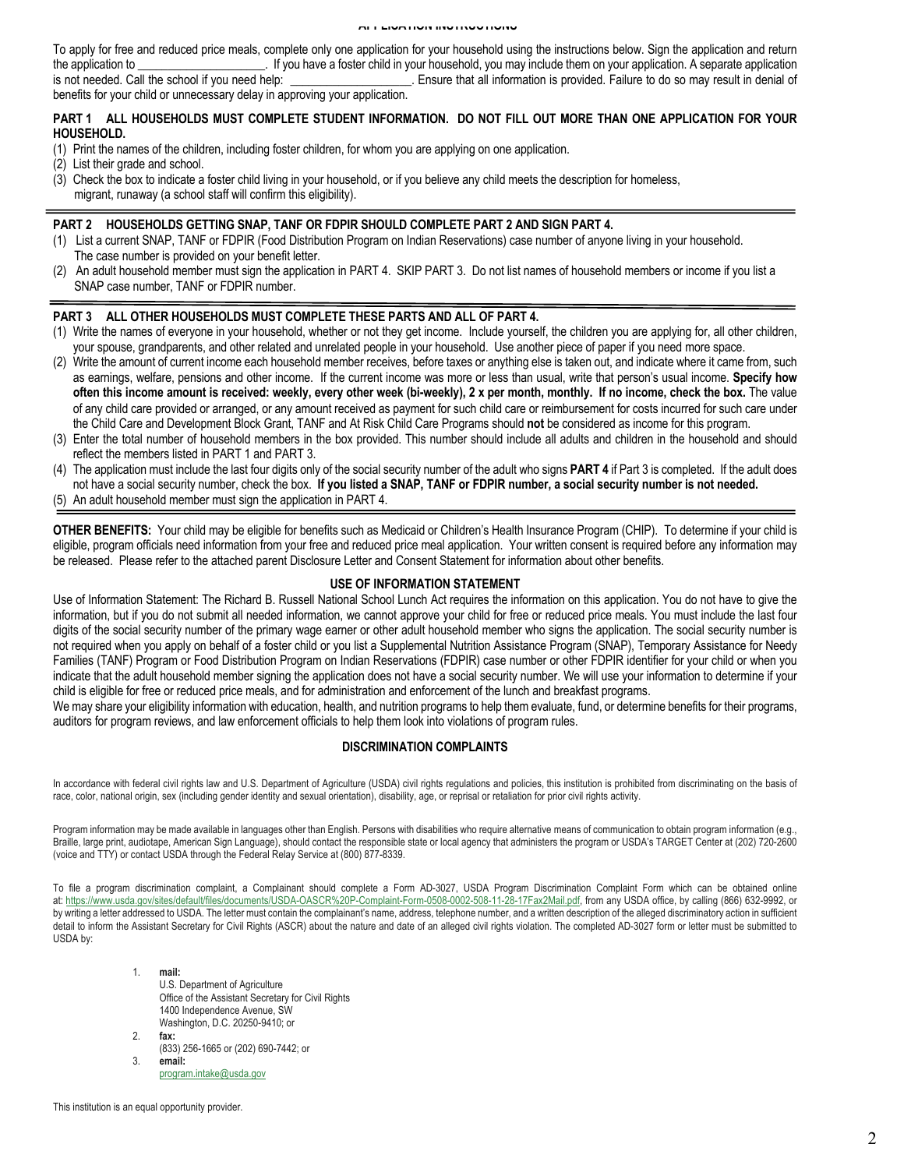#### **APPLICATION INSTRUCTIONS**

To apply for free and reduced price meals, complete only one application for your household using the instructions below. Sign the application and return the application to \_\_\_\_\_\_\_\_\_\_\_\_\_\_\_\_\_\_\_\_\_\_. If you have a foster child in your household, you may include them on your application. A separate application is not needed. Call the school if you need help: <br>
Ensure that all information is provided. Failure to do so may result in denial of benefits for your child or unnecessary delay in approving your application.

### **PART 1 ALL HOUSEHOLDS MUST COMPLETE STUDENT INFORMATION. DO NOT FILL OUT MORE THAN ONE APPLICATION FOR YOUR HOUSEHOLD.**

- (1) Print the names of the children, including foster children, for whom you are applying on one application.
- (2) List their grade and school.
- (3) Check the box to indicate a foster child living in your household, or if you believe any child meets the description for homeless, migrant, runaway (a school staff will confirm this eligibility).

#### **PART 2 HOUSEHOLDS GETTING SNAP, TANF OR FDPIR SHOULD COMPLETE PART 2 AND SIGN PART 4.**

- (1) List a current SNAP, TANF or FDPIR (Food Distribution Program on Indian Reservations) case number of anyone living in your household. The case number is provided on your benefit letter.
- (2) An adult household member must sign the application in PART 4. SKIP PART 3. Do not list names of household members or income if you list a SNAP case number, TANF or FDPIR number.

#### **PART 3 ALL OTHER HOUSEHOLDS MUST COMPLETE THESE PARTS AND ALL OF PART 4.**

- (1) Write the names of everyone in your household, whether or not they get income. Include yourself, the children you are applying for, all other children, your spouse, grandparents, and other related and unrelated people in your household. Use another piece of paper if you need more space.
- (2) Write the amount of current income each household member receives, before taxes or anything else is taken out, and indicate where it came from, such as earnings, welfare, pensions and other income. If the current income was more or less than usual, write that person's usual income. **Specify how often this income amount is received: weekly, every other week (bi-weekly), 2 x per month, monthly. If no income, check the box.** The value of any child care provided or arranged, or any amount received as payment for such child care or reimbursement for costs incurred for such care under the Child Care and Development Block Grant, TANF and At Risk Child Care Programs should **not** be considered as income for this program.
- (3) Enter the total number of household members in the box provided. This number should include all adults and children in the household and should reflect the members listed in PART 1 and PART 3.
- (4) The application must include the last four digits only of the social security number of the adult who signs **PART 4** if Part 3 is completed. If the adult does not have a social security number, check the box. **If you listed a SNAP, TANF or FDPIR number, a social security number is not needed.**
- (5) An adult household member must sign the application in PART 4.

**OTHER BENEFITS:** Your child may be eligible for benefits such as Medicaid or Children's Health Insurance Program (CHIP). To determine if your child is eligible, program officials need information from your free and reduced price meal application. Your written consent is required before any information may be released. Please refer to the attached parent Disclosure Letter and Consent Statement for information about other benefits.

#### **USE OF INFORMATION STATEMENT**

Use of Information Statement: The Richard B. Russell National School Lunch Act requires the information on this application. You do not have to give the information, but if you do not submit all needed information, we cannot approve your child for free or reduced price meals. You must include the last four digits of the social security number of the primary wage earner or other adult household member who signs the application. The social security number is not required when you apply on behalf of a foster child or you list a Supplemental Nutrition Assistance Program (SNAP), Temporary Assistance for Needy Families (TANF) Program or Food Distribution Program on Indian Reservations (FDPIR) case number or other FDPIR identifier for your child or when you indicate that the adult household member signing the application does not have a social security number. We will use your information to determine if your child is eligible for free or reduced price meals, and for administration and enforcement of the lunch and breakfast programs.

We may share your eligibility information with education, health, and nutrition programs to help them evaluate, fund, or determine benefits for their programs, auditors for program reviews, and law enforcement officials to help them look into violations of program rules.

### **DISCRIMINATION COMPLAINTS**

In accordance with federal civil rights law and U.S. Department of Agriculture (USDA) civil rights regulations and policies, this institution is prohibited from discriminating on the basis of race, color, national origin, sex (including gender identity and sexual orientation), disability, age, or reprisal or retaliation for prior civil rights activity.

Program information may be made available in languages other than English. Persons with disabilities who require alternative means of communication to obtain program information (e.g., Braille, large print, audiotape, American Sign Language), should contact the responsible state or local agency that administers the program or USDA's TARGET Center at (202) 720-2600 (voice and TTY) or contact USDA through the Federal Relay Service at (800) 877-8339.

To file a program discrimination complaint, a Complainant should complete a Form AD-3027, USDA Program Discrimination Complaint Form which can be obtained online at: https://www.usda.gov/sites/default/files/documents/USDA-OASCR%20P-Complaint-Form-0508-0002-508-11-28-17Fax2Mail.pdf, from any USDA office, by calling (866) 632-9992, or by writing a letter addressed to USDA. The letter must contain the complainant's name, address, telephone number, and a written description of the alleged discriminatory action in sufficient detail to inform the Assistant Secretary for Civil Rights (ASCR) about the nature and date of an alleged civil rights violation. The completed AD-3027 form or letter must be submitted to USDA by:

- 1. **mail:** U.S. Department of Agriculture Office of the Assistant Secretary for Civil Rights 1400 Independence Avenue, SW Washington, D.C. 20250-9410; or 2. **fax:**
- (833) 256-1665 or (202) 690-7442; or 3. **email:**
	- program.intake@usda.gov